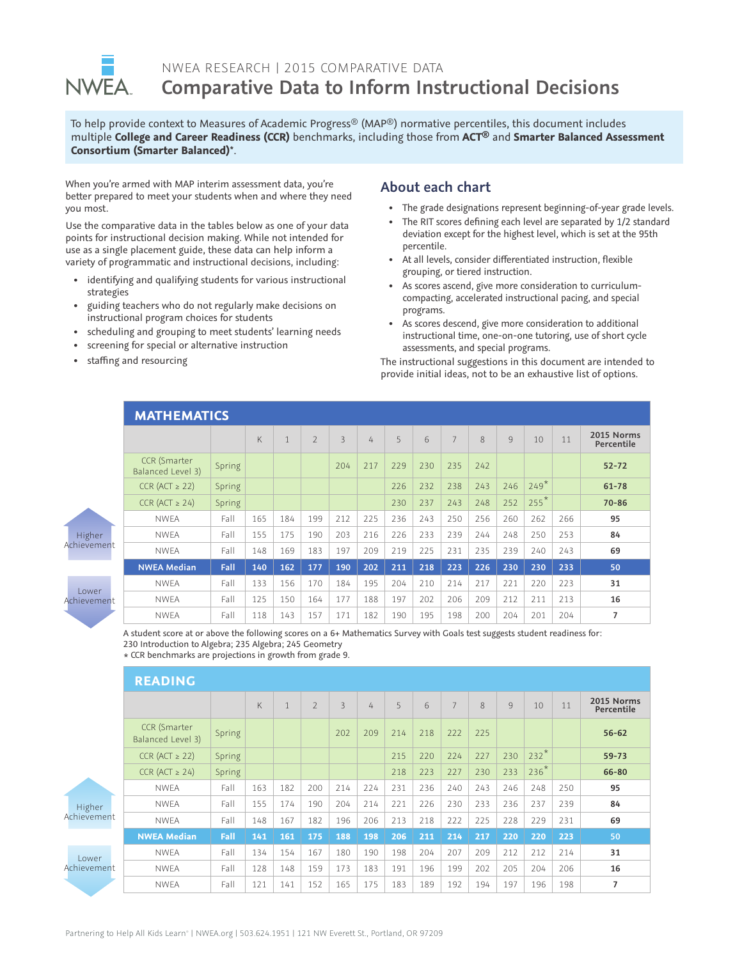

## NWEA RESEARCH | 2015 COMPARATIVE DATA **Comparative Data to Inform Instructional Decisions**

To help provide context to Measures of Academic Progress® (MAP®) normative percentiles, this document includes multiple **College and Career Readiness (CCR)** benchmarks, including those from **ACT®** and **Smarter Balanced Assessment Consortium (Smarter Balanced)\*** .

When you're armed with MAP interim assessment data, you're better prepared to meet your students when and where they need you most.

Use the comparative data in the tables below as one of your data points for instructional decision making. While not intended for use as a single placement guide, these data can help inform a variety of programmatic and instructional decisions, including:

- identifying and qualifying students for various instructional strategies
- guiding teachers who do not regularly make decisions on instructional program choices for students
- scheduling and grouping to meet students' learning needs
- screening for special or alternative instruction
- staffing and resourcing

## **About each chart**

- The grade designations represent beginning-of-year grade levels.
- The RIT scores defining each level are separated by 1/2 standard deviation except for the highest level, which is set at the 95th percentile.
- At all levels, consider differentiated instruction, flexible grouping, or tiered instruction.
- As scores ascend, give more consideration to curriculumcompacting, accelerated instructional pacing, and special programs.
- As scores descend, give more consideration to additional instructional time, one-on-one tutoring, use of short cycle assessments, and special programs.

The instructional suggestions in this document are intended to provide initial ideas, not to be an exhaustive list of options.

|                             | <b>MATHEMATICS</b>                       |        |     |              |                |                |     |     |     |                |     |     |        |     |                          |
|-----------------------------|------------------------------------------|--------|-----|--------------|----------------|----------------|-----|-----|-----|----------------|-----|-----|--------|-----|--------------------------|
|                             |                                          |        | K   | $\mathbf{1}$ | $\overline{2}$ | $\overline{3}$ | 4   | 5   | 6   | $\overline{7}$ | 8   | 9   | 10     | 11  | 2015 Norms<br>Percentile |
| Higher<br>Achievement       | <b>CCR</b> (Smarter<br>Balanced Level 3) | Spring |     |              |                | 204            | 217 | 229 | 230 | 235            | 242 |     |        |     | $52 - 72$                |
|                             | $CCR (ACT \geq 22)$                      | Spring |     |              |                |                |     | 226 | 232 | 238            | 243 | 246 | $249*$ |     | $61 - 78$                |
|                             | $CCR (ACT \geq 24)$                      | Spring |     |              |                |                |     | 230 | 237 | 243            | 248 | 252 | $255*$ |     | $70 - 86$                |
|                             | <b>NWEA</b>                              | Fall   | 165 | 184          | 199            | 212            | 225 | 236 | 243 | 250            | 256 | 260 | 262    | 266 | 95                       |
|                             | <b>NWEA</b>                              | Fall   | 155 | 175          | 190            | 203            | 216 | 226 | 233 | 239            | 244 | 248 | 250    | 253 | 84                       |
|                             | <b>NWEA</b>                              | Fall   | 148 | 169          | 183            | 197            | 209 | 219 | 225 | 231            | 235 | 239 | 240    | 243 | 69                       |
|                             | <b>NWEA Median</b>                       | Fall   | 140 | 162          | 177            | 190            | 202 | 211 | 218 | 223            | 226 | 230 | 230    | 233 | 50                       |
| <b>Lower</b><br>Achievement | <b>NWEA</b>                              | Fall   | 133 | 156          | 170            | 184            | 195 | 204 | 210 | 214            | 217 | 221 | 220    | 223 | 31                       |
|                             | <b>NWEA</b>                              | Fall   | 125 | 150          | 164            | 177            | 188 | 197 | 202 | 206            | 209 | 212 | 211    | 213 | 16                       |
|                             | <b>NWEA</b>                              | Fall   | 118 | 143          | 157            | 171            | 182 | 190 | 195 | 198            | 200 | 204 | 201    | 204 | $\overline{7}$           |

A student score at or above the following scores on a 6+ Mathematics Survey with Goals test suggests student readiness for: 230 Introduction to Algebra; 235 Algebra; 245 Geometry

\* CCR benchmarks are projections in growth from grade 9.

|                       | <b>READING</b>                           |        |     |              |                |                |     |     |     |                |     |     |        |     |                          |
|-----------------------|------------------------------------------|--------|-----|--------------|----------------|----------------|-----|-----|-----|----------------|-----|-----|--------|-----|--------------------------|
|                       |                                          |        | K   | $\mathbf{1}$ | $\overline{2}$ | $\overline{3}$ | 4   | 5   | 6   | $\overline{7}$ | 8   | 9   | 10     | 11  | 2015 Norms<br>Percentile |
| Higher<br>Achievement | <b>CCR</b> (Smarter<br>Balanced Level 3) | Spring |     |              |                | 202            | 209 | 214 | 218 | 222            | 225 |     |        |     | $56 - 62$                |
|                       | $CCR (ACT \geq 22)$                      | Spring |     |              |                |                |     | 215 | 220 | 224            | 227 | 230 | $232*$ |     | $59 - 73$                |
|                       | $CCR (ACT \geq 24)$                      | Spring |     |              |                |                |     | 218 | 223 | 227            | 230 | 233 | $236*$ |     | 66-80                    |
|                       | <b>NWEA</b>                              | Fall   | 163 | 182          | 200            | 214            | 224 | 231 | 236 | 240            | 243 | 246 | 248    | 250 | 95                       |
|                       | <b>NWEA</b>                              | Fall   | 155 | 174          | 190            | 204            | 214 | 221 | 226 | 230            | 233 | 236 | 237    | 239 | 84                       |
|                       | <b>NWEA</b>                              | Fall   | 148 | 167          | 182            | 196            | 206 | 213 | 218 | 222            | 225 | 228 | 229    | 231 | 69                       |
|                       | <b>NWEA Median</b>                       | Fall   | 141 | 161          | 175            | 188            | 198 | 206 | 211 | 214            | 217 | 220 | 220    | 223 | 50                       |
| Lower<br>Achievement  | <b>NWEA</b>                              | Fall   | 134 | 154          | 167            | 180            | 190 | 198 | 204 | 207            | 209 | 212 | 212    | 214 | 31                       |
|                       | <b>NWEA</b>                              | Fall   | 128 | 148          | 159            | 173            | 183 | 191 | 196 | 199            | 202 | 205 | 204    | 206 | 16                       |
|                       | <b>NWEA</b>                              | Fall   | 121 | 141          | 152            | 165            | 175 | 183 | 189 | 192            | 194 | 197 | 196    | 198 | $\overline{7}$           |